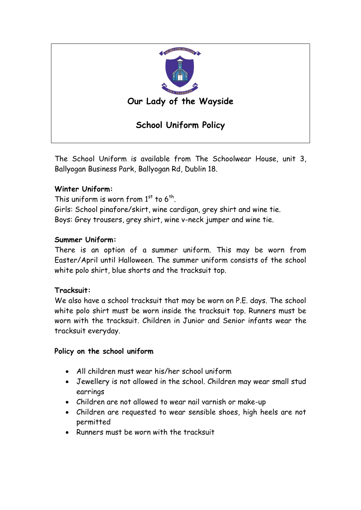

The School Uniform is available from The Schoolwear House, unit 3, Ballyogan Business Park, Ballyogan Rd, Dublin 18.

# **Winter Uniform:**

This uniform is worn from  $1<sup>st</sup>$  to  $6<sup>th</sup>$ . Girls: School pinafore/skirt, wine cardigan, grey shirt and wine tie. Boys: Grey trousers, grey shirt, wine v-neck jumper and wine tie.

# **Summer Uniform:**

There is an option of a summer uniform. This may be worn from Easter/April until Halloween. The summer uniform consists of the school white polo shirt, blue shorts and the tracksuit top.

### **Tracksuit:**

We also have a school tracksuit that may be worn on P.E. days. The school white polo shirt must be worn inside the tracksuit top. Runners must be worn with the tracksuit. Children in Junior and Senior infants wear the tracksuit everyday.

### **Policy on the school uniform**

- All children must wear his/her school uniform
- Jewellery is not allowed in the school. Children may wear small stud earrings
- Children are not allowed to wear nail varnish or make-up
- Children are requested to wear sensible shoes, high heels are not permitted
- Runners must be worn with the tracksuit